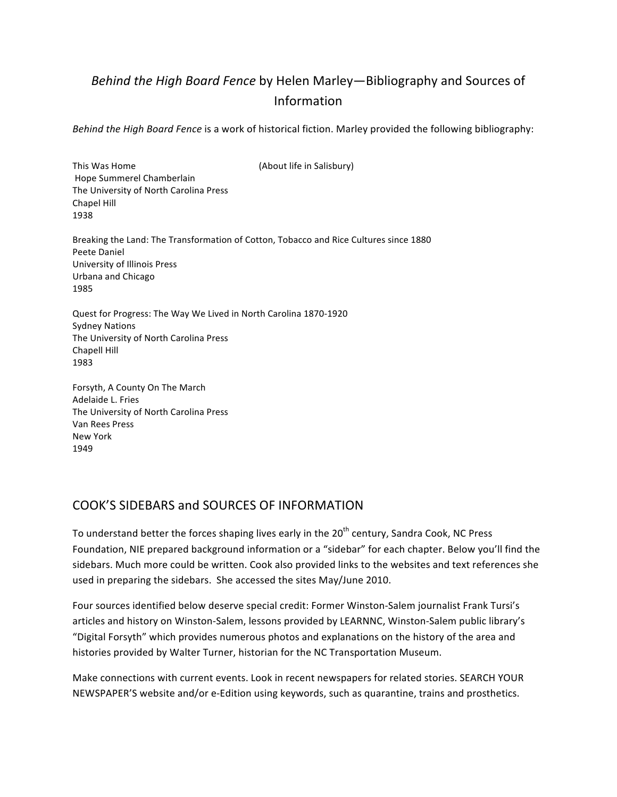# *Behind the High Board Fence* by Helen Marley—Bibliography and Sources of Information

*Behind the High Board Fence* is a work of historical fiction. Marley provided the following bibliography:

This Was Home **In the U.S. Accord (About life in Salisbury)** Hope Summerel Chamberlain The University of North Carolina Press Chapel Hill 1938 Breaking the Land: The Transformation of Cotton, Tobacco and Rice Cultures since 1880 Peete Daniel University of Illinois Press Urbana and Chicago 1985 Quest for Progress: The Way We Lived in North Carolina 1870-1920 Sydney Nations The University of North Carolina Press Chapell Hill 1983

Forsyth, A County On The March Adelaide L. Fries The University of North Carolina Press Van Rees Press New!York 1949

# COOK'S SIDEBARS and SOURCES OF INFORMATION

To understand better the forces shaping lives early in the 20<sup>th</sup> century, Sandra Cook, NC Press Foundation, NIE prepared background information or a "sidebar" for each chapter. Below you'll find the sidebars. Much more could be written. Cook also provided links to the websites and text references she used in preparing the sidebars. She accessed the sites May/June 2010.

Four sources identified below deserve special credit: Former Winston-Salem journalist Frank Tursi's articles and history on Winston-Salem, lessons provided by LEARNNC, Winston-Salem public library's "Digital Forsyth" which provides numerous photos and explanations on the history of the area and histories provided by Walter Turner, historian for the NC Transportation Museum.

Make connections with current events. Look in recent newspapers for related stories. SEARCH YOUR NEWSPAPER'S website and/or e-Edition using keywords, such as quarantine, trains and prosthetics.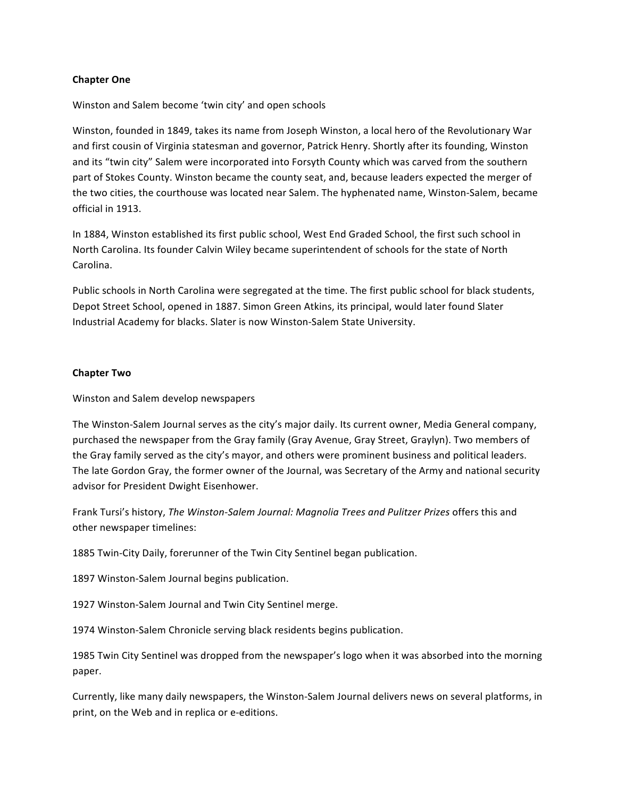### **Chapter One**

Winston and Salem become 'twin city' and open schools

Winston, founded in 1849, takes its name from Joseph Winston, a local hero of the Revolutionary War and first cousin of Virginia statesman and governor, Patrick Henry. Shortly after its founding, Winston and its "twin city" Salem were incorporated into Forsyth County which was carved from the southern part of Stokes County. Winston became the county seat, and, because leaders expected the merger of the two cities, the courthouse was located near Salem. The hyphenated name, Winston-Salem, became official in 1913.

In 1884, Winston established its first public school, West End Graded School, the first such school in North Carolina. Its founder Calvin Wiley became superintendent of schools for the state of North Carolina.

Public schools in North Carolina were segregated at the time. The first public school for black students, Depot Street School, opened in 1887. Simon Green Atkins, its principal, would later found Slater Industrial Academy for blacks. Slater is now Winston-Salem State University.

#### **Chapter Two**

Winston and Salem develop newspapers

The Winston-Salem Journal serves as the city's major daily. Its current owner, Media General company, purchased the newspaper from the Gray family (Gray Avenue, Gray Street, Graylyn). Two members of the Gray family served as the city's mayor, and others were prominent business and political leaders. The late Gordon Gray, the former owner of the Journal, was Secretary of the Army and national security advisor for President Dwight Eisenhower.

Frank Tursi's history, *The Winston-Salem Journal: Magnolia Trees and Pulitzer Prizes* offers this and other newspaper timelines:

1885 Twin-City Daily, forerunner of the Twin City Sentinel began publication.

1897 Winston-Salem Journal begins publication.

1927 Winston-Salem Journal and Twin City Sentinel merge.

1974 Winston-Salem Chronicle serving black residents begins publication.

1985 Twin City Sentinel was dropped from the newspaper's logo when it was absorbed into the morning paper.

Currently, like many daily newspapers, the Winston-Salem Journal delivers news on several platforms, in print, on the Web and in replica or e-editions.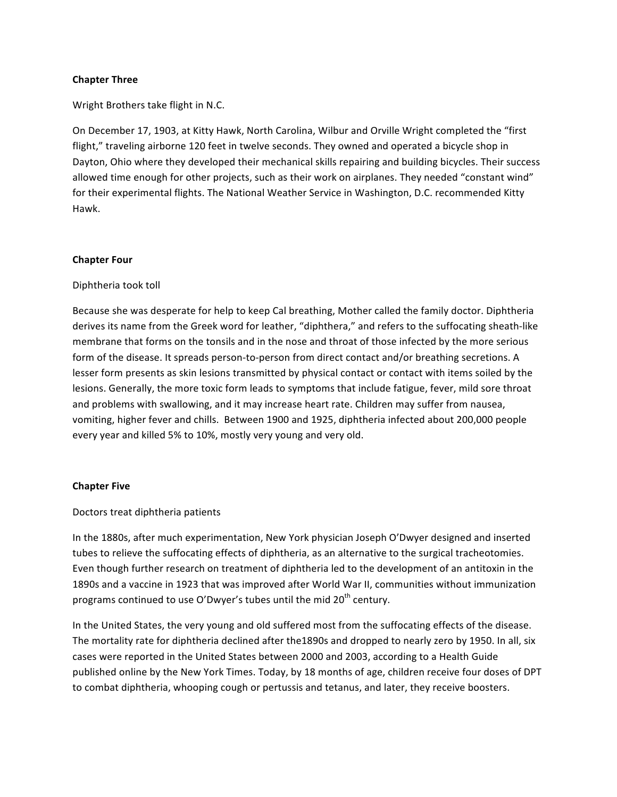#### **Chapter Three**

Wright Brothers take flight in N.C.

On December 17, 1903, at Kitty Hawk, North Carolina, Wilbur and Orville Wright completed the "first flight," traveling airborne 120 feet in twelve seconds. They owned and operated a bicycle shop in Dayton, Ohio where they developed their mechanical skills repairing and building bicycles. Their success allowed time enough for other projects, such as their work on airplanes. They needed "constant wind" for their experimental flights. The National Weather Service in Washington, D.C. recommended Kitty Hawk.

### **Chapter Four**

### Diphtheria took toll

Because she was desperate for help to keep Cal breathing, Mother called the family doctor. Diphtheria derives its name from the Greek word for leather, "diphthera," and refers to the suffocating sheath-like membrane that forms on the tonsils and in the nose and throat of those infected by the more serious form of the disease. It spreads person-to-person from direct contact and/or breathing secretions. A lesser form presents as skin lesions transmitted by physical contact or contact with items soiled by the lesions. Generally, the more toxic form leads to symptoms that include fatigue, fever, mild sore throat and problems with swallowing, and it may increase heart rate. Children may suffer from nausea, vomiting, higher fever and chills. Between 1900 and 1925, diphtheria infected about 200,000 people every year and killed 5% to 10%, mostly very young and very old.

#### **Chapter Five**

Doctors treat diphtheria patients

In the 1880s, after much experimentation, New York physician Joseph O'Dwyer designed and inserted tubes to relieve the suffocating effects of diphtheria, as an alternative to the surgical tracheotomies. Even though further research on treatment of diphtheria led to the development of an antitoxin in the 1890s and a vaccine in 1923 that was improved after World War II, communities without immunization programs continued to use O'Dwyer's tubes until the mid 20<sup>th</sup> century.

In the United States, the very young and old suffered most from the suffocating effects of the disease. The mortality rate for diphtheria declined after the1890s and dropped to nearly zero by 1950. In all, six cases were reported in the United States between 2000 and 2003, according to a Health Guide published online by the New York Times. Today, by 18 months of age, children receive four doses of DPT to combat diphtheria, whooping cough or pertussis and tetanus, and later, they receive boosters.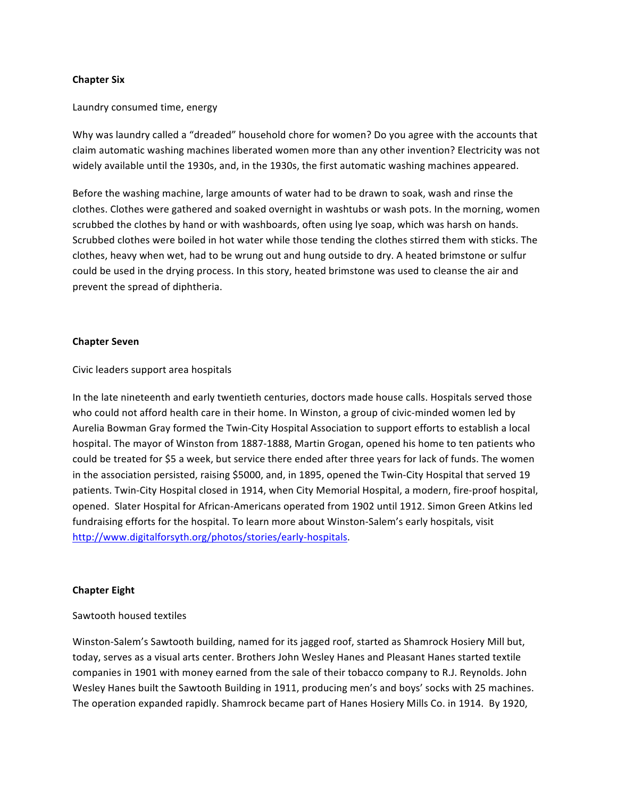#### **Chapter Six**

#### Laundry consumed time, energy

Why was laundry called a "dreaded" household chore for women? Do you agree with the accounts that claim automatic washing machines liberated women more than any other invention? Electricity was not widely available until the 1930s, and, in the 1930s, the first automatic washing machines appeared.

Before the washing machine, large amounts of water had to be drawn to soak, wash and rinse the clothes. Clothes were gathered and soaked overnight in washtubs or wash pots. In the morning, women scrubbed the clothes by hand or with washboards, often using lye soap, which was harsh on hands. Scrubbed clothes were boiled in hot water while those tending the clothes stirred them with sticks. The clothes, heavy when wet, had to be wrung out and hung outside to dry. A heated brimstone or sulfur could be used in the drying process. In this story, heated brimstone was used to cleanse the air and prevent the spread of diphtheria.

#### **Chapter Seven**

Civic leaders support area hospitals

In the late nineteenth and early twentieth centuries, doctors made house calls. Hospitals served those who could not afford health care in their home. In Winston, a group of civic-minded women led by Aurelia Bowman Gray formed the Twin-City Hospital Association to support efforts to establish a local hospital. The mayor of Winston from 1887-1888, Martin Grogan, opened his home to ten patients who could be treated for \$5 a week, but service there ended after three years for lack of funds. The women in the association persisted, raising \$5000, and, in 1895, opened the Twin-City Hospital that served 19 patients. Twin-City Hospital closed in 1914, when City Memorial Hospital, a modern, fire-proof hospital, opened. Slater Hospital for African-Americans operated from 1902 until 1912. Simon Green Atkins led fundraising efforts for the hospital. To learn more about Winston-Salem's early hospitals, visit http://www.digitalforsyth.org/photos/stories/early-hospitals.

#### **Chapter Eight**

#### Sawtooth housed textiles

Winston-Salem's Sawtooth building, named for its jagged roof, started as Shamrock Hosiery Mill but, today, serves as a visual arts center. Brothers John Wesley Hanes and Pleasant Hanes started textile companies in 1901 with money earned from the sale of their tobacco company to R.J. Reynolds. John Wesley Hanes built the Sawtooth Building in 1911, producing men's and boys' socks with 25 machines. The operation expanded rapidly. Shamrock became part of Hanes Hosiery Mills Co. in 1914. By 1920,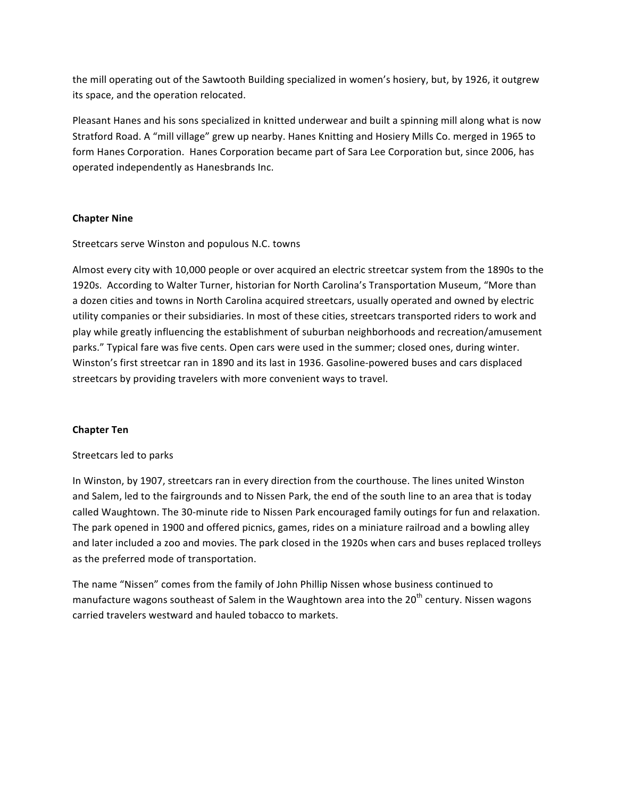the mill operating out of the Sawtooth Building specialized in women's hosiery, but, by 1926, it outgrew its space, and the operation relocated.

Pleasant Hanes and his sons specialized in knitted underwear and built a spinning mill along what is now Stratford Road. A "mill village" grew up nearby. Hanes Knitting and Hosiery Mills Co. merged in 1965 to form Hanes Corporation. Hanes Corporation became part of Sara Lee Corporation but, since 2006, has operated independently as Hanesbrands Inc.

# **Chapter Nine**

Streetcars serve Winston and populous N.C. towns

Almost every city with 10,000 people or over acquired an electric streetcar system from the 1890s to the 1920s. According to Walter Turner, historian for North Carolina's Transportation Museum, "More than a dozen cities and towns in North Carolina acquired streetcars, usually operated and owned by electric utility companies or their subsidiaries. In most of these cities, streetcars transported riders to work and play while greatly influencing the establishment of suburban neighborhoods and recreation/amusement parks." Typical fare was five cents. Open cars were used in the summer; closed ones, during winter. Winston's first streetcar ran in 1890 and its last in 1936. Gasoline-powered buses and cars displaced streetcars by providing travelers with more convenient ways to travel.

# **Chapter Ten**

# Streetcars led to parks

In Winston, by 1907, streetcars ran in every direction from the courthouse. The lines united Winston and Salem, led to the fairgrounds and to Nissen Park, the end of the south line to an area that is today called Waughtown. The 30-minute ride to Nissen Park encouraged family outings for fun and relaxation. The park opened in 1900 and offered picnics, games, rides on a miniature railroad and a bowling alley and later included a zoo and movies. The park closed in the 1920s when cars and buses replaced trolleys as the preferred mode of transportation.

The name "Nissen" comes from the family of John Phillip Nissen whose business continued to manufacture wagons southeast of Salem in the Waughtown area into the  $20<sup>th</sup>$  century. Nissen wagons carried travelers westward and hauled tobacco to markets.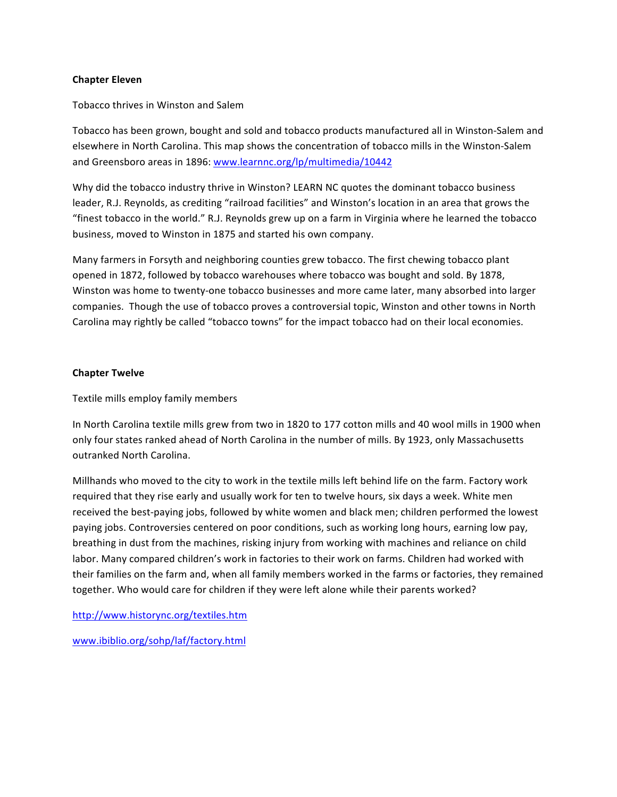### **Chapter Eleven**

### Tobacco thrives in Winston and Salem

Tobacco has been grown, bought and sold and tobacco products manufactured all in Winston-Salem and elsewhere in North Carolina. This map shows the concentration of tobacco mills in the Winston-Salem and Greensboro areas in 1896: www.learnnc.org/lp/multimedia/10442

Why did the tobacco industry thrive in Winston? LEARN NC quotes the dominant tobacco business leader, R.J. Reynolds, as crediting "railroad facilities" and Winston's location in an area that grows the "finest tobacco in the world." R.J. Reynolds grew up on a farm in Virginia where he learned the tobacco business, moved to Winston in 1875 and started his own company.

Many farmers in Forsyth and neighboring counties grew tobacco. The first chewing tobacco plant opened in 1872, followed by tobacco warehouses where tobacco was bought and sold. By 1878, Winston was home to twenty-one tobacco businesses and more came later, many absorbed into larger companies. Though the use of tobacco proves a controversial topic, Winston and other towns in North Carolina may rightly be called "tobacco towns" for the impact tobacco had on their local economies.

### **Chapter Twelve**

Textile mills employ family members

In North Carolina textile mills grew from two in 1820 to 177 cotton mills and 40 wool mills in 1900 when only four states ranked ahead of North Carolina in the number of mills. By 1923, only Massachusetts outranked North Carolina.

Millhands who moved to the city to work in the textile mills left behind life on the farm. Factory work required that they rise early and usually work for ten to twelve hours, six days a week. White men received the best-paying jobs, followed by white women and black men; children performed the lowest paying jobs. Controversies centered on poor conditions, such as working long hours, earning low pay, breathing in dust from the machines, risking injury from working with machines and reliance on child labor. Many compared children's work in factories to their work on farms. Children had worked with their families on the farm and, when all family members worked in the farms or factories, they remained together. Who would care for children if they were left alone while their parents worked?

http://www.historync.org/textiles.htm

www.ibiblio.org/sohp/laf/factory.html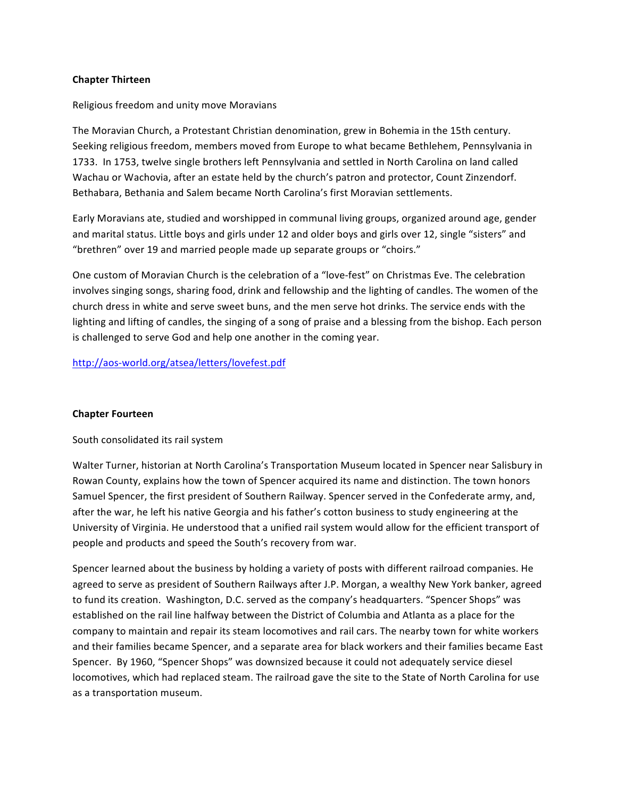#### **Chapter(Thirteen**

### Religious freedom and unity move Moravians

The Moravian Church, a Protestant Christian denomination, grew in Bohemia in the 15th century. Seeking religious freedom, members moved from Europe to what became Bethlehem, Pennsylvania in 1733. In 1753, twelve single brothers left Pennsylvania and settled in North Carolina on land called Wachau or Wachovia, after an estate held by the church's patron and protector, Count Zinzendorf. Bethabara, Bethania and Salem became North Carolina's first Moravian settlements.

Early Moravians ate, studied and worshipped in communal living groups, organized around age, gender and marital status. Little boys and girls under 12 and older boys and girls over 12, single "sisters" and "brethren" over 19 and married people made up separate groups or "choirs."

One custom of Moravian Church is the celebration of a "love-fest" on Christmas Eve. The celebration involves singing songs, sharing food, drink and fellowship and the lighting of candles. The women of the church dress in white and serve sweet buns, and the men serve hot drinks. The service ends with the lighting and lifting of candles, the singing of a song of praise and a blessing from the bishop. Each person is challenged to serve God and help one another in the coming year.

# http://aos-world.org/atsea/letters/lovefest.pdf

#### **Chapter Fourteen**

# South consolidated its rail system

Walter Turner, historian at North Carolina's Transportation Museum located in Spencer near Salisbury in Rowan County, explains how the town of Spencer acquired its name and distinction. The town honors Samuel Spencer, the first president of Southern Railway. Spencer served in the Confederate army, and, after the war, he left his native Georgia and his father's cotton business to study engineering at the University of Virginia. He understood that a unified rail system would allow for the efficient transport of people and products and speed the South's recovery from war.

Spencer learned about the business by holding a variety of posts with different railroad companies. He agreed to serve as president of Southern Railways after J.P. Morgan, a wealthy New York banker, agreed to fund its creation. Washington, D.C. served as the company's headquarters. "Spencer Shops" was established on the rail line halfway between the District of Columbia and Atlanta as a place for the company to maintain and repair its steam locomotives and rail cars. The nearby town for white workers and their families became Spencer, and a separate area for black workers and their families became East Spencer. By 1960, "Spencer Shops" was downsized because it could not adequately service diesel locomotives, which had replaced steam. The railroad gave the site to the State of North Carolina for use as a transportation museum.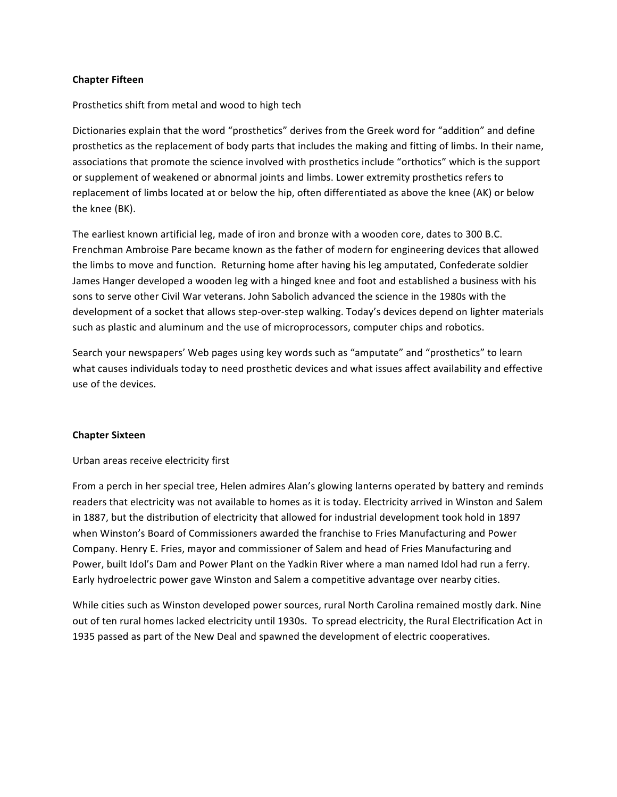### **Chapter Fifteen**

### Prosthetics shift from metal and wood to high tech

Dictionaries explain that the word "prosthetics" derives from the Greek word for "addition" and define prosthetics as the replacement of body parts that includes the making and fitting of limbs. In their name, associations that promote the science involved with prosthetics include "orthotics" which is the support or supplement of weakened or abnormal joints and limbs. Lower extremity prosthetics refers to replacement of limbs located at or below the hip, often differentiated as above the knee (AK) or below the knee (BK).

The earliest known artificial leg, made of iron and bronze with a wooden core, dates to 300 B.C. Frenchman Ambroise Pare became known as the father of modern for engineering devices that allowed the limbs to move and function. Returning home after having his leg amputated, Confederate soldier James Hanger developed a wooden leg with a hinged knee and foot and established a business with his sons to serve other Civil War veterans. John Sabolich advanced the science in the 1980s with the development of a socket that allows step-over-step walking. Today's devices depend on lighter materials such as plastic and aluminum and the use of microprocessors, computer chips and robotics.

Search your newspapers' Web pages using key words such as "amputate" and "prosthetics" to learn what causes individuals today to need prosthetic devices and what issues affect availability and effective use of the devices.

#### **Chapter Sixteen**

#### Urban areas receive electricity first

From a perch in her special tree, Helen admires Alan's glowing lanterns operated by battery and reminds readers that electricity was not available to homes as it is today. Electricity arrived in Winston and Salem in 1887, but the distribution of electricity that allowed for industrial development took hold in 1897 when Winston's Board of Commissioners awarded the franchise to Fries Manufacturing and Power Company. Henry E. Fries, mayor and commissioner of Salem and head of Fries Manufacturing and Power, built Idol's Dam and Power Plant on the Yadkin River where a man named Idol had run a ferry. Early hydroelectric power gave Winston and Salem a competitive advantage over nearby cities.

While cities such as Winston developed power sources, rural North Carolina remained mostly dark. Nine out of ten rural homes lacked electricity until 1930s. To spread electricity, the Rural Electrification Act in 1935 passed as part of the New Deal and spawned the development of electric cooperatives.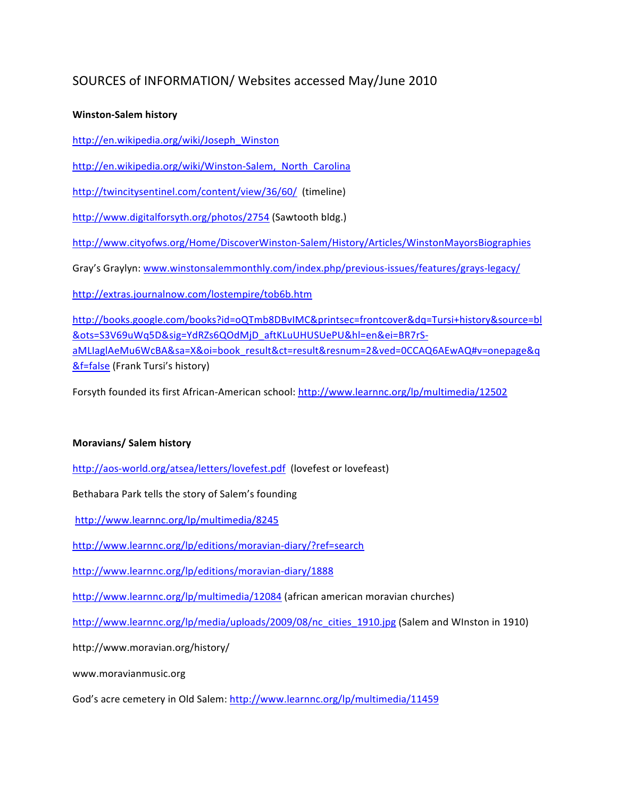# SOURCES of INFORMATION/ Websites accessed May/June 2010

# **Winston-Salem history**

http://en.wikipedia.org/wiki/Joseph\_Winston

http://en.wikipedia.org/wiki/Winston-Salem, North Carolina

http://twincitysentinel.com/content/view/36/60/ (timeline)

http://www.digitalforsyth.org/photos/2754 (Sawtooth bldg.)

http://www.cityofws.org/Home/DiscoverWinston-Salem/History/Articles/WinstonMayorsBiographies

Gray's Graylyn: www.winstonsalemmonthly.com/index.php/previous-issues/features/grays-legacy/

http://extras.journalnow.com/lostempire/tob6b.htm

http://books.google.com/books?id=oQTmb8DBvIMC&printsec=frontcover&dq=Tursi+history&source=bl &ots=S3V69uWq5D&sig=YdRZs6QOdMjD\_aftKLuUHUSUePU&hl=en&ei=BR7rSU aMLIaglAeMu6WcBA&sa=X&oi=book\_result&ct=result&resnum=2&ved=0CCAQ6AEwAQ#v=onepage&q &f=false (Frank Tursi's history)

Forsyth founded its first African-American school: http://www.learnnc.org/lp/multimedia/12502

# **Moravians/Salem history**

http://aos-world.org/atsea/letters/lovefest.pdf (lovefest or lovefeast)

Bethabara Park tells the story of Salem's founding

http://www.learnnc.org/lp/multimedia/8245

http://www.learnnc.org/lp/editions/moravian-diary/?ref=search

http://www.learnnc.org/lp/editions/moravian-diary/1888

http://www.learnnc.org/lp/multimedia/12084 (african american moravian churches)

http://www.learnnc.org/lp/media/uploads/2009/08/nc\_cities\_1910.jpg (Salem and WInston in 1910)

http://www.moravian.org/history/

www.moravianmusic.org

God's acre cemetery in Old Salem: http://www.learnnc.org/lp/multimedia/11459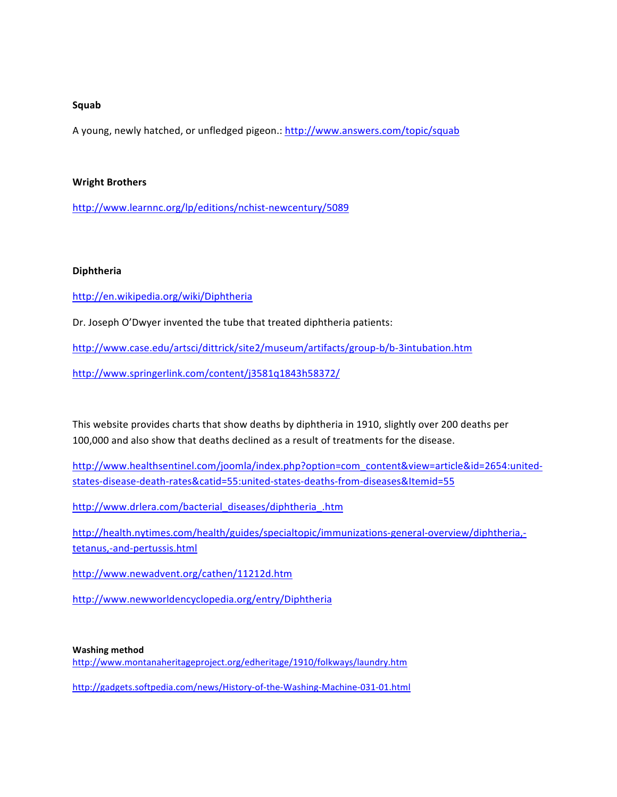#### **Squab**

A young, newly hatched, or unfledged pigeon.: http://www.answers.com/topic/squab

#### **Wright Brothers**

http://www.learnnc.org/lp/editions/nchist-newcentury/5089

#### **Diphtheria**

http://en.wikipedia.org/wiki/Diphtheria

Dr. Joseph O'Dwyer invented the tube that treated diphtheria patients:

http://www.case.edu/artsci/dittrick/site2/museum/artifacts/group-b/b-3intubation.htm

http://www.springerlink.com/content/j3581q1843h58372/

This website provides charts that show deaths by diphtheria in 1910, slightly over 200 deaths per 100,000 and also show that deaths declined as a result of treatments for the disease.

http://www.healthsentinel.com/joomla/index.php?option=com\_content&view=article&id=2654:unitedstates-disease-death-rates&catid=55:united-states-deaths-from-diseases&Itemid=55

http://www.drlera.com/bacterial\_diseases/diphtheria\_.htm

http://health.nytimes.com/health/guides/specialtopic/immunizations-general-overview/diphtheria,tetanus,-and-pertussis.html

http://www.newadvent.org/cathen/11212d.htm

http://www.newworldencyclopedia.org/entry/Diphtheria

#### **Washing method**

http://www.montanaheritageproject.org/edheritage/1910/folkways/laundry.htm

http://gadgets.softpedia.com/news/History-of-the-Washing-Machine-031-01.html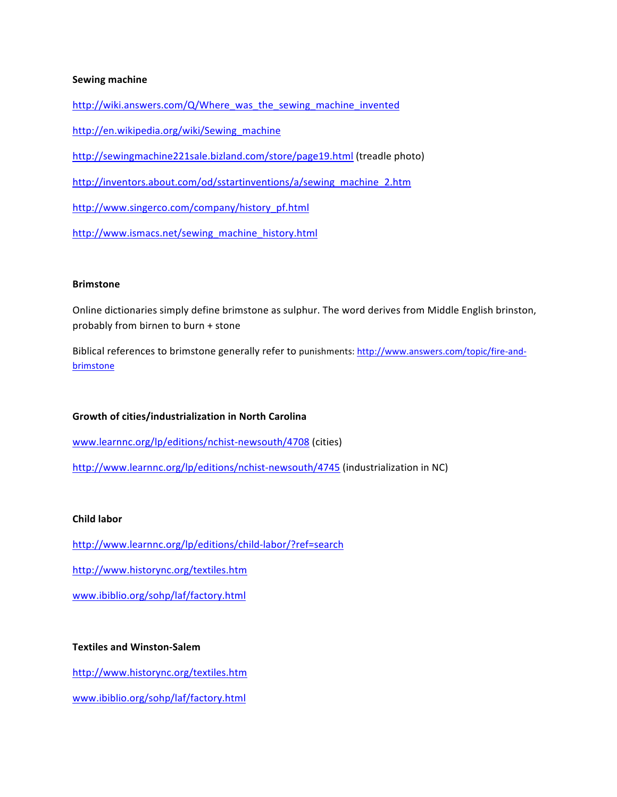#### **Sewing machine**

http://wiki.answers.com/Q/Where\_was\_the\_sewing\_machine\_invented

http://en.wikipedia.org/wiki/Sewing\_machine

http://sewingmachine221sale.bizland.com/store/page19.html (treadle photo)

http://inventors.about.com/od/sstartinventions/a/sewing\_machine\_2.htm

http://www.singerco.com/company/history\_pf.html

http://www.ismacs.net/sewing\_machine\_history.html

#### **Brimstone**

Online dictionaries simply define brimstone as sulphur. The word derives from Middle English brinston, probably from birnen to burn + stone

Biblical references to brimstone generally refer to punishments: http://www.answers.com/topic/fire-andbrimstone

#### **Growth of cities/industrialization in North Carolina**

www.learnnc.org/lp/editions/nchist-newsouth/4708 (cities)

http://www.learnnc.org/lp/editions/nchist-newsouth/4745 (industrialization in NC)

#### **Child labor**

http://www.learnnc.org/lp/editions/child-labor/?ref=search

http://www.historync.org/textiles.htm

www.ibiblio.org/sohp/laf/factory.html

# **Textiles and Winston-Salem**

http://www.historync.org/textiles.htm

www.ibiblio.org/sohp/laf/factory.html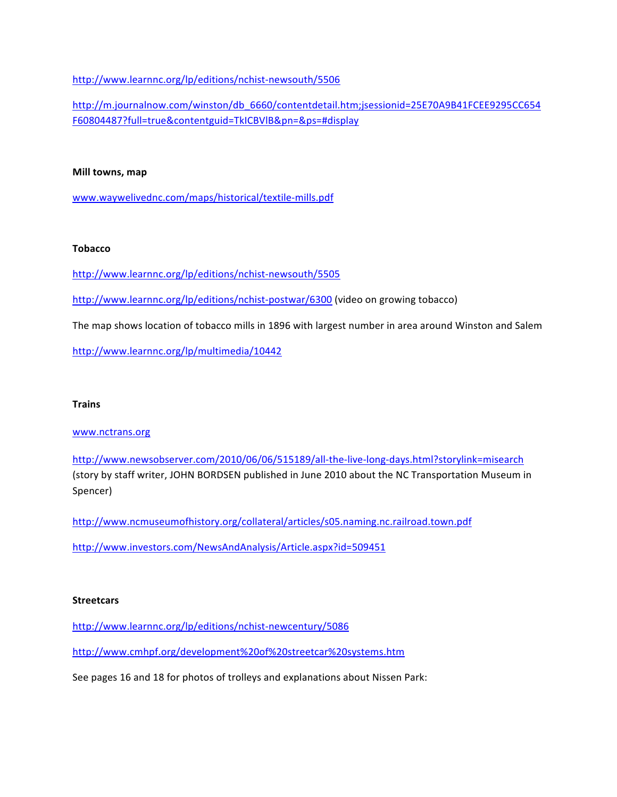http://www.learnnc.org/lp/editions/nchist-newsouth/5506

http://m.journalnow.com/winston/db\_6660/contentdetail.htm;jsessionid=25E70A9B41FCEE9295CC654 F60804487?full=true&contentguid=TkICBVlB&pn=&ps=#display

#### **Mill towns, map**

www.waywelivednc.com/maps/historical/textile-mills.pdf

### **Tobacco**

http://www.learnnc.org/lp/editions/nchist-newsouth/5505

http://www.learnnc.org/lp/editions/nchist-postwar/6300 (video on growing tobacco)

The map shows location of tobacco mills in 1896 with largest number in area around Winston and Salem

http://www.learnnc.org/lp/multimedia/10442

# **Trains**

# www.nctrans.org

http://www.newsobserver.com/2010/06/06/515189/all-the-live-long-days.html?storylink=misearch (story by staff writer, JOHN BORDSEN published in June 2010 about the NC Transportation Museum in Spencer)

http://www.ncmuseumofhistory.org/collateral/articles/s05.naming.nc.railroad.town.pdf

http://www.investors.com/NewsAndAnalysis/Article.aspx?id=509451

# **Streetcars**

http://www.learnnc.org/lp/editions/nchist-newcentury/5086

http://www.cmhpf.org/development%20of%20streetcar%20systems.htm

See pages 16 and 18 for photos of trolleys and explanations about Nissen Park: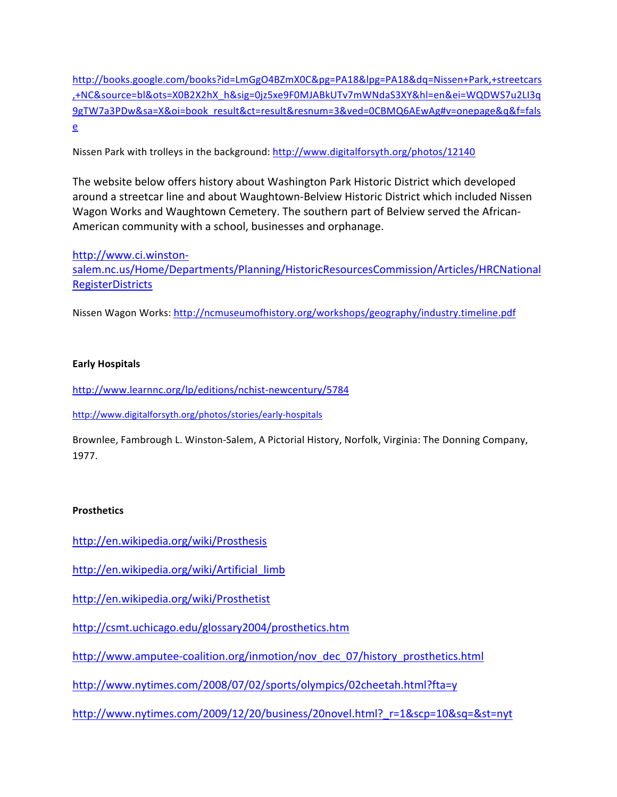http://books.google.com/books?id=LmGgO4BZmX0C&pg=PA18&lpg=PA18&dq=Nissen+Park,+streetcars ,+NC&source=bl&ots=X0B2X2hX\_h&sig=0jz5xe9F0MJABkUTv7mWNdaS3XY&hl=en&ei=WQDWS7u2LI3q 9gTW7a3PDw&sa=X&oi=book\_result&ct=result&resnum=3&ved=0CBMQ6AEwAg#v=onepage&q&f=fals e

Nissen Park with trolleys in the background: http://www.digitalforsyth.org/photos/12140

The website below offers history about Washington Park Historic District which developed around a streetcar line and about Waughtown-Belview Historic District which included Nissen Wagon Works and Waughtown Cemetery. The southern part of Belview served the African-American community with a school, businesses and orphanage.

http://www.ci.winstonsalem.nc.us/Home/Departments/Planning/HistoricResourcesCommission/Articles/HRCNational **RegisterDistricts** 

Nissen Wagon Works: http://ncmuseumofhistory.org/workshops/geography/industry.timeline.pdf

# **Early(Hospitals**

http://www.learnnc.org/lp/editions/nchist-newcentury/5784

http://www.digitalforsyth.org/photos/stories/early-hospitals

Brownlee, Fambrough L. Winston-Salem, A Pictorial History, Norfolk, Virginia: The Donning Company, 1977.

# **Prosthetics**

http://en.wikipedia.org/wiki/Prosthesis

http://en.wikipedia.org/wiki/Artificial limb

http://en.wikipedia.org/wiki/Prosthetist

http://csmt.uchicago.edu/glossary2004/prosthetics.htm

http://www.amputee-coalition.org/inmotion/nov\_dec\_07/history\_prosthetics.html

http://www.nytimes.com/2008/07/02/sports/olympics/02cheetah.html?fta=y

http://www.nytimes.com/2009/12/20/business/20novel.html?\_r=1&scp=10&sq=&st=nyt